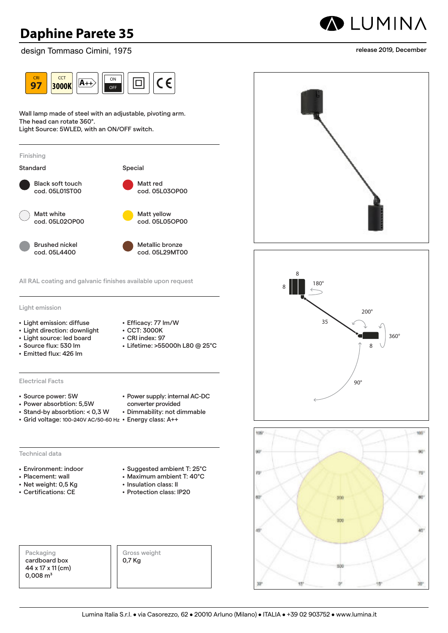sign Tommaso Cimini, 1975 2-step **2700K** design Tommaso Cimini, 1975



Wall lamp made of steel with an adjustable, pivoting arm.<br> vvall lamp made of steel w<br>The head can rotate 360°.

Light Source: 5WLED, with an ON/OFF switch.



All RAL coating and galvanic finishes available upon request **97 3000K A++** OFF

Light emission CRI **97 2700K**

- Light emission: diffuse
- Light direction: downlight
- **Light source: led board**
- Light source: Ied boa<br>• Source flux: 530 lm
- Emitted flux: 426 lm
- CCT: 3000K • CRI index: 97

• Efficacy: 77 lm/W

DALI system

- Lifetime: >55000h L80 @ 25°C system COMPATIBLE **>80**
- Electrical Facts **83 2700K**
- Source power: 5W
- **Power absorbtion: 5,5W**<br>Stand by sharehtion: 40.7 W
- $\bullet$  Stand-by absorbtion: < 0,3 W  $\bullet$
- Grid voltage: 100–240V AC/50-60 Hz Energy class: A++

**A++**

### Technical data

- Environment: indoor **R7s C**
- **Placement: wall**
- Net weight: 0,5 Kg
- $\bullet$  Certifications: CE
- Power supply: internal AC-DC converter provided
- Dimmability: not dimmable

• Suggested ambient T: 25°C • Maximum ambient T: 40°C

- 
- 
- 

• Insulation class: II • Protection class: IP20

Packaging cardboard box 44 x 17 x 11 (cm)  $0,008 \text{ m}^3$ 

Gross weight 0,7 Kg

**3000K 3000K 2700K 2700K** 2-step switch **b15d D**

**CCT** 

**CCT** 

**CCT** 

**CCT** 





# **ALUMINA**

release 2019, December

**>80**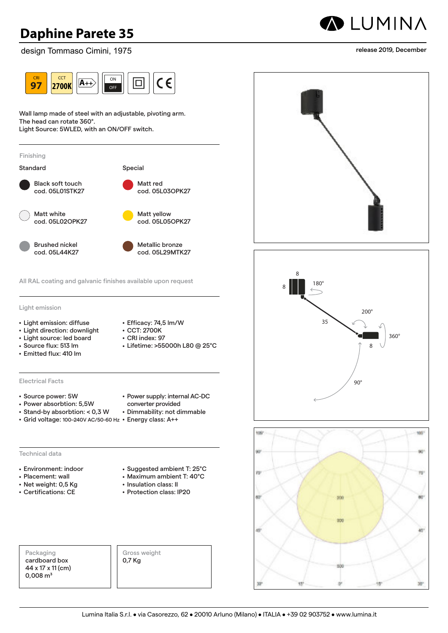sign Tomma <mark>ommaso Cimini, 19</mark>7 design Tommaso Cimini, 1975



Wall lamp made of steel with an adjustable, pivoting arm.<br> vvall lamp made of steel w<br>The head can rotate 360°.

Light Source: 5WLED, with an ON/OFF switch.



All RAL coating and galvanic finishes available upon request **97 A++** OFF **2700K**

Light emission CRI **83 3000K**

- Light emission: diffuse
- Light direction: downlight
- **4** Light source: led board
- Light source: Ied boa<br>• Source flux: 513 lm
- Emitted flux: 410 lm
- CCT: 2700K
- CRI index: 97

• Efficacy: 74,5 lm/W

- Lifetime: >55000h L80 @ 25°C system COMPATIBLE **>80**
- **83** Electrical Facts **3000K**
- Source power: 5W
- Power absorbtion: 5,5W<br>• Stand by absorbtion: <u>< 0.3</u> V
- Stand-by absorbtion:  $<$  0,3 W  $\cdot$
- Grid voltage: 100–240V AC/50-60 Hz Energy class: A++

**A++**

### Technical data

- **Environment: indoor**
- Placement: wall
- 
- $\bullet$  Certifications: CE
- Power supply: internal AC-DC converter provided • Dimmability: not dimmable
- 
- 

### • Net weight: 0,5 Kg

- 
- Suggested ambient T: 25°C **<19**
- Maximum ambient T: 40°C • Insulation class: II
- Protection class: IP20

Packaging cardboard box 44 x 17 x 11 (cm)  $0,008 \text{ m}^3$ 

Gross weight 0,7 Kg



2-step







release 2019, December

**>80**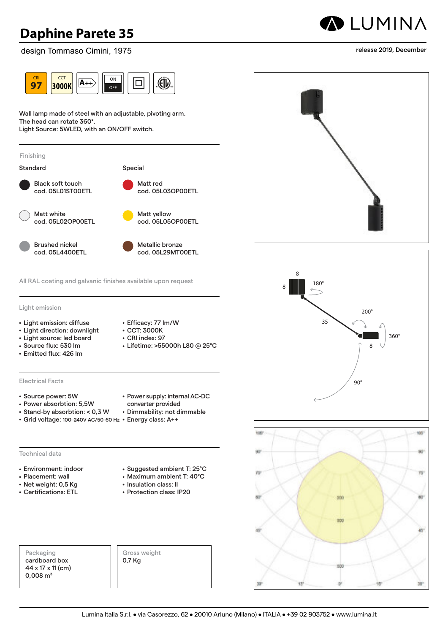sign Tommaso Cimini, 197 OF ST **2700K** design Tommaso Cimini, 1975



Wall lamp made of steel with an adjustable, pivoting arm.<br> vvall lamp made of steel w<br>The head can rotate 360°.

Light Source: 5WLED, with an ON/OFF switch.



All RAL coating and galvanic finishes available upon request **83 3000K A++** system COMPATIBLE

Light emission CRI **83 2700K**

- Light emission: diffuse
- Light direction: downlight
- **Light source: led board**
- Light source: Ied boa<br>• Source flux: 530 lm
- Emitted flux: 426 lm
- CCT: 3000K • CRI index: 97

• Efficacy: 77 lm/W

- Lifetime: >55000h L80 @ 25°C COMPATIBLE **>80**
- **83** Electrical Facts **2700K**
- Source power: 5W
- Power absorbtion: 5,5W
- Stand-by absorbtion: < 0,3 W
- Grid voltage: 100–240V AC/50-60 Hz Energy class: A++

**A++**

### Technical data

- **222 2000K**<br>**2700K**
- Placement: wall
- Net weight: 0,5 Kg
- 

• Power supply: internal AC-DC converter provided

• Suggested ambient T: 25°C **<19** • Maximum ambient T: 40°C

- Dimmability: not dimmable
- 

- 
- Certifications: ETL
- Insulation class: II • Protection class: IP20

Packaging cardboard box 44 x 17 x 11 (cm)  $0,008 \text{ m}^3$ 

Gross weight 0,7 Kg



2-step







#### release 2019, December

**CCT** 

**CCT** 

**INCLUDED** 

**COMPATIBLE INCLUDED**

**CCT**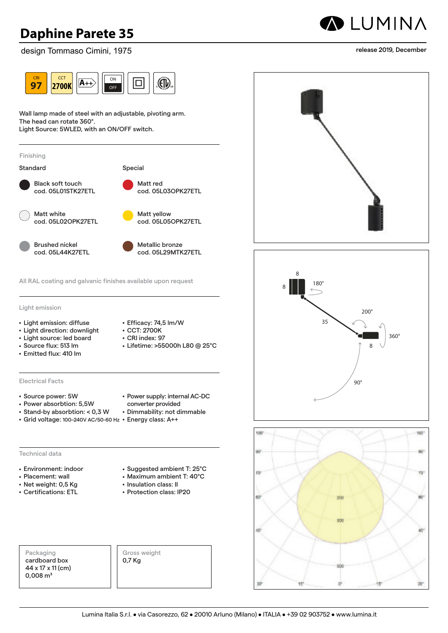sign Tomma <mark>ommaso Cimini, 19</mark>7 design Tommaso Cimini, 1975



Wall lamp made of steel with an adjustable, pivoting arm.<br> vvall lamp made of steel w<br>The head can rotate 360°.

Light Source: 5WLED, with an ON/OFF switch.



All RAL coating and galvanic finishes available upon request **83 A++** system **2700K** COMPATIBLE

Light emission CRI **83 3000K**

- Light emission: diffuse
- Light direction: downlight
- **4** Light source: led board
- Light source: Ied boa<br>• Source flux: 513 lm

**R7s C**

- Emitted flux: 410 lm
- CCT: 2700K • CRI index: 97

• Efficacy: 74,5 lm/W

- Lifetime: >55000h L80 @ 25°C COMPATIBLE **COMPATIBLE**
- **Electrical Facts**
- Source power: 5W
- Power absorbtion: 5,5W<br>• Stand by absorbtion: <u>< 0.3</u> V
- Stand-by absorbtion: < 0,3 W
- Grid voltage: 100–240V AC/50-60 Hz Energy class: A++

### Technical data

- Environment: indoor
- Placement: wall
- Net weight: 0,5 Kg
- Certifications: ETL
- Power supply: internal AC-DC converter provided
- converter provided<br>• Dimmability: not dimmable

• Suggested ambient T: 25°C

- 
- Maximum ambient T: 40°C • Insulation class: II
	- Protection class: IP20

Packaging cardboard box 44 x 17 x 11 (cm)  $0,008 \text{ m}^3$ 

Gross weight 0,7 Kg

**CCT 2700K b15d D CCT 3000K CCT 2700K**

2-step







#### release 2019, December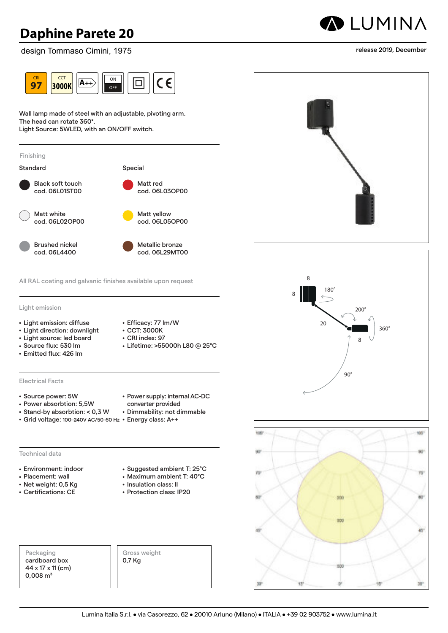sign Tommaso Cimini, 1975 2-step **2700K** design Tommaso Cimini, 1975



Wall lamp made of steel with an adjustable, pivoting arm.<br> vvall lamp made of steel w<br>The head can rotate 360°.

Light Source: 5WLED, with an ON/OFF switch.



**A++**

Light emission CRI **97 2700K**

- Light emission: diffuse
- Light direction: downlight
- **Light source: led board**
- Light source: Ied boa<br>• Source flux: 530 lm
- Emitted flux: 426 lm
- Efficacy: 77 lm/W • CCT: 3000K
- CRI index: 97

DALI system

- Lifetime: >55000h L80 @ 25°C system COMPATIBLE **>80**
- **83** Electrical Facts **2700K**
- Source power: 5W
- Power absorbtion: 5,5W<br>• Stand by absorbtion: <u>< 0.3</u> V
- Stand-by absorbtion:  $<$  0,3 W  $\cdot$
- Grid voltage: 100–240V AC/50-60 Hz Energy class: A++

#### Technical data

- Environment: indoor **R7s C**
- **Placement: wall**
- Net weight: 0,5 Kg
- $\bullet$  Certifications: CE
- Power supply: internal AC-DC converter provided
- Dimmability: not dimmable
- 

Packaging cardboard box 44 x 17 x 11 (cm)  $0,008 \text{ m}^3$ 

• Suggested ambient T: 25°C

- Maximum ambient T: 40°C
- Insulation class: II • Protection class: IP20
- Gross weight 0,7 Kg



**ALUMINA** 







**CCT** 

**CCT** 

**CCT** 

**CCT** 

**CCT** 

**>80**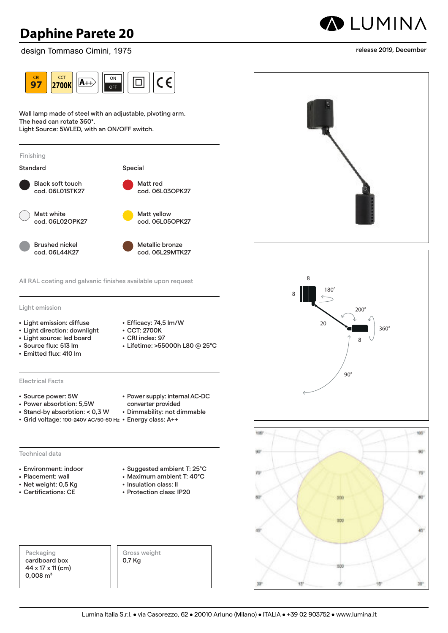sign Tomma <mark>ommaso Cimini, 19</mark>7 design Tommaso Cimini, 1975



Wall lamp made of steel with an adjustable, pivoting arm. Wall lamp made of steel w<br>The head can rotate 360°.

Light Source: 5WLED, with an ON/OFF switch.



Light emission **83 3000K**

- Light emission: diffuse
- $\bullet$  Light direction: downlight
- Light source: led board<br>• Source flux: 513 lm
- Source flux: 513 lm
- Emitted flux: 410 lm
- Efficacy: 74,5 lm/W • CCT: 2700K
- $\cdot$  CRI index: 97
- On macx: *51*<br>• Lifetime: >55000h L80 @ 25°C **>80**
- **83** Electrical Facts **3000K**
- Source power: 5W
- Power absorbtion: 5,5W
- $\bullet$  Stand-by absorbtion: < 0,3 W  $\bullet$
- Grid voltage: 100–240V AC/50-60 Hz Energy class: A++

**A++**

#### Technical data

- **Environment: indoor**
- 
- 
- 
- Power supply: internal AC-DC converter provided
- Dimmability: not dimmable
- 

- Placement: wall
- Net weight: 0,5 Kg
- Certifications: CE
- Suggested ambient T: 25°C
- Maximum ambient T: 40°C
- Insulation class: II • Protection class: IP20

Packaging cardboard box 44 x 17 x 11 (cm)  $0,008 \text{ m}^3$ 

Gross weight 0,7 Kg



2-step







release 2019, December

**CCT** 

**CCT** 

**CCT** 

**INCLUDED** 

**>80**

**CCT**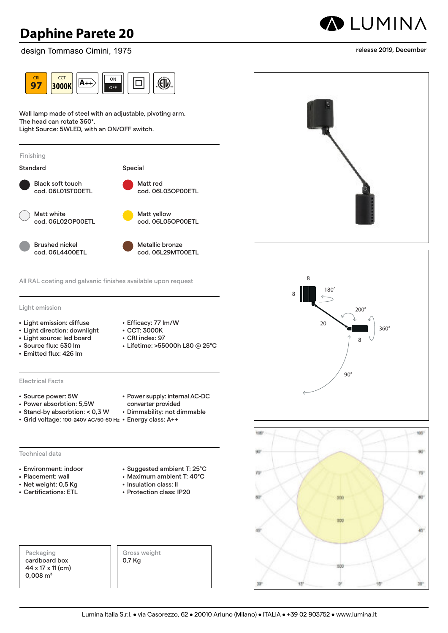sign Tommaso Cimini, 197 OF ST **2700K** design Tommaso Cimini, 1975



Wall lamp made of steel with an adjustable, pivoting arm.<br> vvall lamp made of steel w<br>The head can rotate 360°.

Light Source: 5WLED, with an ON/OFF switch.



All RAL coating and galvanic finishes available upon request **83 3000K A++** system COMPATIBLE

Light emission CRI **83 2700K**

- Light emission: diffuse
- Light direction: downlight
- **Light source: led board**
- Light source: Ied boa<br>• Source flux: 530 lm
- Emitted flux: 426 lm
- CCT: 3000K • CRI index: 97

• Efficacy: 77 lm/W

- Lifetime: >55000h L80 @ 25°C COMPATIBLE **>80**
- **83** Electrical Facts **2700K**
- Source power: 5W
- Power absorbtion: 5,5W
- Stand-by absorbtion: < 0,3 W
- Grid voltage: 100–240V AC/50-60 Hz Energy class: A++

**A++**

### Technical data

- **222 2000K**<br>**2700K**
- Placement: wall
- Net weight: 0,5 Kg
- Certifications: ETL
- Power supply: internal AC-DC converter provided
- Dimmability: not dimmable

• Suggested ambient T: 25°C **<19** • Maximum ambient T: 40°C

• Insulation class: II • Protection class: IP20

Packaging cardboard box 44 x 17 x 11 (cm)  $0,008 \text{ m}^3$ 

Gross weight 0,7 Kg



2-step







release 2019, December